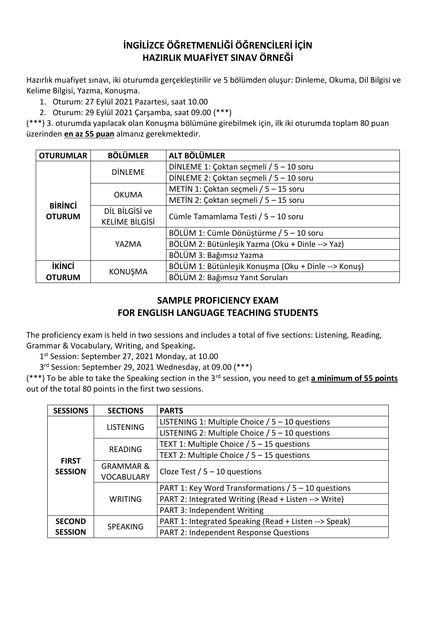# **İNGİLİZCE ÖĞRETMENLİĞİ ÖĞRENCİLERİ İÇİN HAZIRLIK MUAFİYET SINAV ÖRNEĞİ**

Hazırlık muafiyet sınavı, iki oturumda gerçekleştirilir ve 5 bölümden oluşur: Dinleme, Okuma, Dil Bilgisi ve Kelime Bilgisi, Yazma, Konuşma.

1. Oturum: 27 Eylül 2021 Pazartesi, saat 10.00

2. Oturum: 29 Eylül 2021 Çarşamba, saat 09.00 (\*\*\*)

(\*\*\*) 3. oturumda yapılacak olan Konuşma bölümüne girebilmek için, ilk iki oturumda toplam 80 puan üzerinden **en az 55 puan** almanız gerekmektedir.

| <b>OTURUMLAR</b> | <b>BÖLÜMLER</b>       | ALT BÖLÜMLER                                        |  |  |
|------------------|-----------------------|-----------------------------------------------------|--|--|
|                  | <b>DINLEME</b>        | DINLEME 1: Çoktan seçmeli / 5 – 10 soru             |  |  |
|                  |                       | DİNLEME 2: Çoktan seçmeli / 5 - 10 soru             |  |  |
|                  | <b>OKUMA</b>          | METİN 1: Çoktan seçmeli / 5 - 15 soru               |  |  |
| <b>BIRINCI</b>   |                       | METİN 2: Çoktan seçmeli / 5 - 15 soru               |  |  |
| <b>OTURUM</b>    | DİL BİLGİSİ ve        | Cümle Tamamlama Testi / 5 - 10 soru                 |  |  |
|                  | <b>KELİME BİLGİSİ</b> |                                                     |  |  |
|                  | YAZMA                 | BÖLÜM 1: Cümle Dönüştürme / 5 – 10 soru             |  |  |
|                  |                       | BÖLÜM 2: Bütünleşik Yazma (Oku + Dinle --> Yaz)     |  |  |
|                  |                       | BÖLÜM 3: Bağımsız Yazma                             |  |  |
| <b>İKİNCİ</b>    | <b>KONUŞMA</b>        | BÖLÜM 1: Bütünleşik Konuşma (Oku + Dinle --> Konuş) |  |  |
| <b>OTURUM</b>    |                       | BÖLÜM 2: Bağımsız Yanıt Soruları                    |  |  |

## **SAMPLE PROFICIENCY EXAM FOR ENGLISH LANGUAGE TEACHING STUDENTS**

The proficiency exam is held in two sessions and includes a total of five sections: Listening, Reading, Grammar & Vocabulary, Writing, and Speaking**.**

1st Session: September 27, 2021 Monday, at 10.00

3 rd Session: September 29, 2021 Wednesday, at 09.00 (\*\*\*)

(\*\*\*) To be able to take the Speaking section in the 3rd session, you need to get **a minimum of 55 points** out of the total 80 points in the first two sessions.

| <b>SESSIONS</b> | <b>SECTIONS</b>      | <b>PARTS</b>                                          |  |
|-----------------|----------------------|-------------------------------------------------------|--|
|                 | <b>LISTENING</b>     | LISTENING 1: Multiple Choice $/ 5 - 10$ questions     |  |
|                 |                      | LISTENING 2: Multiple Choice $/ 5 - 10$ questions     |  |
|                 | <b>READING</b>       | TEXT 1: Multiple Choice $/ 5 - 15$ questions          |  |
|                 |                      | TEXT 2: Multiple Choice $/ 5 - 15$ questions          |  |
| <b>FIRST</b>    | <b>GRAMMAR &amp;</b> | Cloze Test / $5 - 10$ questions                       |  |
| <b>SESSION</b>  | <b>VOCABULARY</b>    |                                                       |  |
|                 |                      | PART 1: Key Word Transformations $/ 5 - 10$ questions |  |
|                 | <b>WRITING</b>       | PART 2: Integrated Writing (Read + Listen --> Write)  |  |
|                 |                      | PART 3: Independent Writing                           |  |
| <b>SECOND</b>   | <b>SPEAKING</b>      | PART 1: Integrated Speaking (Read + Listen --> Speak) |  |
| <b>SESSION</b>  |                      | PART 2: Independent Response Questions                |  |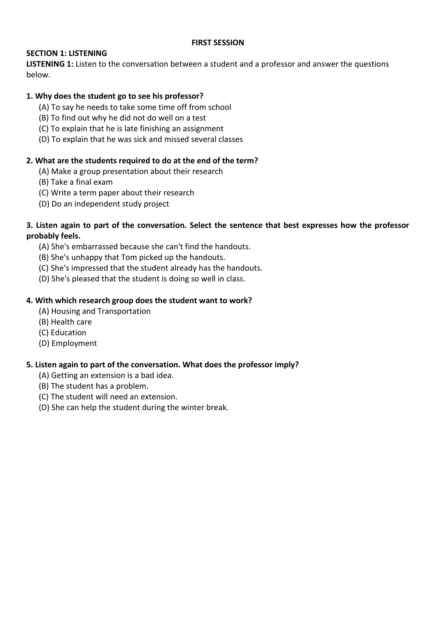#### **FIRST SESSION**

### **SECTION 1: LISTENING**

**LISTENING 1:** Listen to the conversation between a student and a professor and answer the questions below.

### **1. Why does the student go to see his professor?**

- (A) To say he needs to take some time off from school
- (B) To find out why he did not do well on a test
- (C) To explain that he is late finishing an assignment
- (D) To explain that he was sick and missed several classes

### **2. What are the students required to do at the end of the term?**

- (A) Make a group presentation about their research
- (B) Take a final exam
- (C) Write a term paper about their research
- (D) Do an independent study project

#### **3. Listen again to part of the conversation. Select the sentence that best expresses how the professor probably feels.**

- (A) She's embarrassed because she can't find the handouts.
- (B) She's unhappy that Tom picked up the handouts.
- (C) She's impressed that the student already has the handouts.
- (D) She's pleased that the student is doing so well in class.

#### **4. With which research group does the student want to work?**

- (A) Housing and Transportation
- (B) Health care
- (C) Education
- (D) Employment

#### **5. Listen again to part of the conversation. What does the professor imply?**

- (A) Getting an extension is a bad idea.
- (B) The student has a problem.
- (C) The student will need an extension.
- (D) She can help the student during the winter break.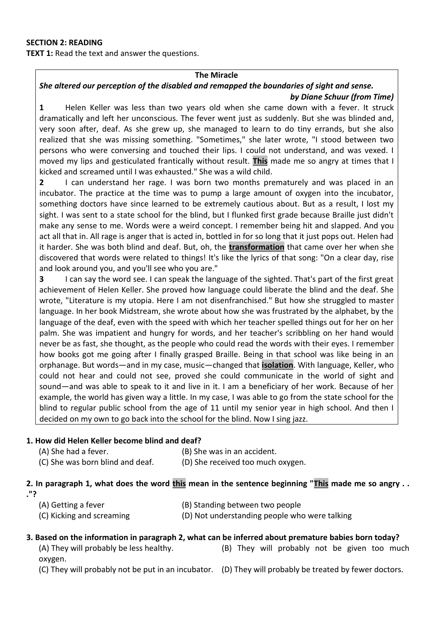#### **SECTION 2: READING**

**TEXT 1:** Read the text and answer the questions.

#### **The Miracle**

#### *She altered our perception of the disabled and remapped the boundaries of sight and sense. by Diane Schuur (from Time)*

**1** Helen Keller was less than two years old when she came down with a fever. It struck dramatically and left her unconscious. The fever went just as suddenly. But she was blinded and, very soon after, deaf. As she grew up, she managed to learn to do tiny errands, but she also realized that she was missing something. "Sometimes," she later wrote, "I stood between two persons who were conversing and touched their lips. I could not understand, and was vexed. I moved my lips and gesticulated frantically without result. **This** made me so angry at times that I kicked and screamed until I was exhausted." She was a wild child.

**2** I can understand her rage. I was born two months prematurely and was placed in an incubator. The practice at the time was to pump a large amount of oxygen into the incubator, something doctors have since learned to be extremely cautious about. But as a result, I lost my sight. I was sent to a state school for the blind, but I flunked first grade because Braille just didn't make any sense to me. Words were a weird concept. I remember being hit and slapped. And you act all that in. All rage is anger that is acted in, bottled in for so long that it just pops out. Helen had it harder. She was both blind and deaf. But, oh, the **transformation** that came over her when she discovered that words were related to things! It's like the lyrics of that song: "On a clear day, rise and look around you, and you'll see who you are."

**3** I can say the word see. I can speak the language of the sighted. That's part of the first great achievement of Helen Keller. She proved how language could liberate the blind and the deaf. She wrote, "Literature is my utopia. Here I am not disenfranchised." But how she struggled to master language. In her book Midstream, she wrote about how she was frustrated by the alphabet, by the language of the deaf, even with the speed with which her teacher spelled things out for her on her palm. She was impatient and hungry for words, and her teacher's scribbling on her hand would never be as fast, she thought, as the people who could read the words with their eyes. I remember how books got me going after I finally grasped Braille. Being in that school was like being in an orphanage. But words—and in my case, music—changed that **isolation**. With language, Keller, who could not hear and could not see, proved she could communicate in the world of sight and sound—and was able to speak to it and live in it. I am a beneficiary of her work. Because of her example, the world has given way a little. In my case, I was able to go from the state school for the blind to regular public school from the age of 11 until my senior year in high school. And then I decided on my own to go back into the school for the blind. Now I sing jazz.

#### **1. How did Helen Keller become blind and deaf?**

(A) She had a fever. (B) She was in an accident.

(C) She was born blind and deaf. (D) She received too much oxygen.

#### **2. In paragraph 1, what does the word this mean in the sentence beginning "This made me so angry . . ."?**

- (A) Getting a fever (B) Standing between two people
- (C) Kicking and screaming (D) Not understanding people who were talking

### **3. Based on the information in paragraph 2, what can be inferred about premature babies born today?**

(A) They will probably be less healthy. (B) They will probably not be given too much oxygen.

(C) They will probably not be put in an incubator. (D) They will probably be treated by fewer doctors.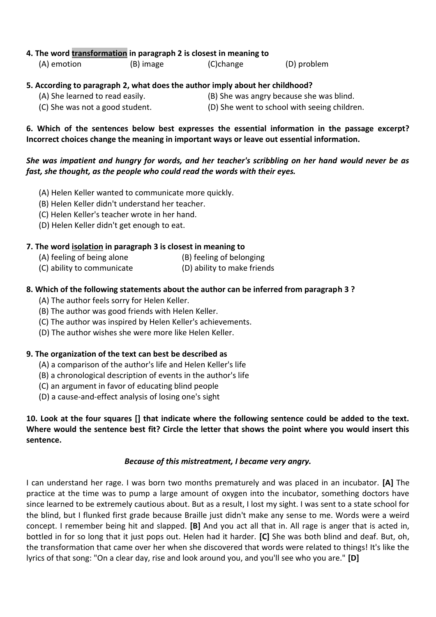#### **4. The word transformation in paragraph 2 is closest in meaning to**

| (A) emotion | (B) image | (C)change | (D) problem |
|-------------|-----------|-----------|-------------|
|-------------|-----------|-----------|-------------|

### **5. According to paragraph 2, what does the author imply about her childhood?**

(A) She learned to read easily. (B) She was angry because she was blind.

(C) She was not a good student. (D) She went to school with seeing children.

**6. Which of the sentences below best expresses the essential information in the passage excerpt? Incorrect choices change the meaning in important ways or leave out essential information.**

### *She was impatient and hungry for words, and her teacher's scribbling on her hand would never be as fast, she thought, as the people who could read the words with their eyes.*

- (A) Helen Keller wanted to communicate more quickly.
- (B) Helen Keller didn't understand her teacher.
- (C) Helen Keller's teacher wrote in her hand.
- (D) Helen Keller didn't get enough to eat.

### **7. The word isolation in paragraph 3 is closest in meaning to**

- (A) feeling of being alone (B) feeling of belonging
- (C) ability to communicate (D) ability to make friends

### **8. Which of the following statements about the author can be inferred from paragraph 3 ?**

- (A) The author feels sorry for Helen Keller.
- (B) The author was good friends with Helen Keller.
- (C) The author was inspired by Helen Keller's achievements.
- (D) The author wishes she were more like Helen Keller.

### **9. The organization of the text can best be described as**

- (A) a comparison of the author's life and Helen Keller's life
- (B) a chronological description of events in the author's life
- (C) an argument in favor of educating blind people
- (D) a cause-and-effect analysis of losing one's sight

### **10. Look at the four squares [] that indicate where the following sentence could be added to the text. Where would the sentence best fit? Circle the letter that shows the point where you would insert this sentence.**

#### *Because of this mistreatment, I became very angry.*

I can understand her rage. I was born two months prematurely and was placed in an incubator. **[A]** The practice at the time was to pump a large amount of oxygen into the incubator, something doctors have since learned to be extremely cautious about. But as a result, I lost my sight. I was sent to a state school for the blind, but I flunked first grade because Braille just didn't make any sense to me. Words were a weird concept. I remember being hit and slapped. **[B]** And you act all that in. All rage is anger that is acted in, bottled in for so long that it just pops out. Helen had it harder. **[C]** She was both blind and deaf. But, oh, the transformation that came over her when she discovered that words were related to things! It's like the lyrics of that song: "On a clear day, rise and look around you, and you'll see who you are." **[D]**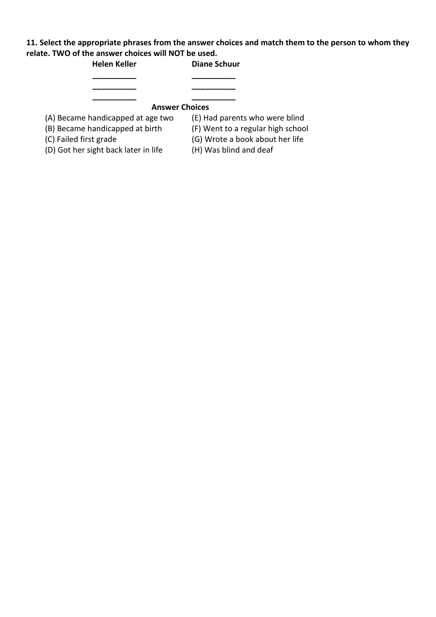### **11. Select the appropriate phrases from the answer choices and match them to the person to whom they relate. TWO of the answer choices will NOT be used.**

| <b>Helen Keller</b>               | <b>Diane Schuur</b>            |  |  |
|-----------------------------------|--------------------------------|--|--|
|                                   |                                |  |  |
|                                   |                                |  |  |
| <b>Answer Choices</b>             |                                |  |  |
| (A) Became handicapped at age two | (E) Had parents who were blind |  |  |

- (B) Became handicapped at birth (F) Went to a regular high school
- 
- (D) Got her sight back later in life (H) Was blind and deaf
- (C) Failed first grade (G) Wrote a book about her life
	-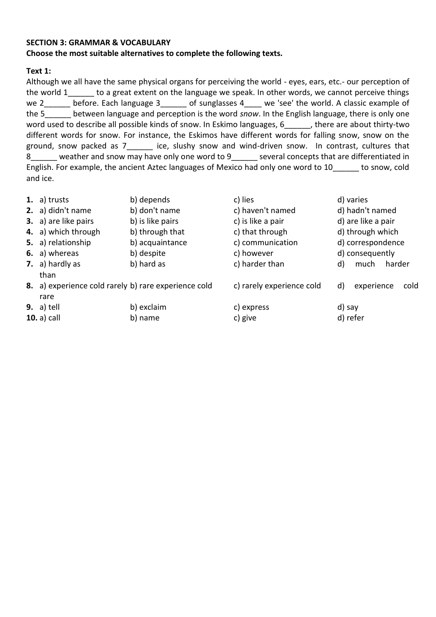### **SECTION 3: GRAMMAR & VOCABULARY Choose the most suitable alternatives to complete the following texts.**

### **Text 1:**

Although we all have the same physical organs for perceiving the world - eyes, ears, etc.- our perception of the world 1 to a great extent on the language we speak. In other words, we cannot perceive things we 2\_\_\_\_\_\_ before. Each language 3\_\_\_\_\_\_ of sunglasses 4\_\_\_\_ we 'see' the world. A classic example of the 5 between language and perception is the word *snow*. In the English language, there is only one word used to describe all possible kinds of snow. In Eskimo languages, 6 There are about thirty-two different words for snow. For instance, the Eskimos have different words for falling snow, snow on the ground, snow packed as 7 and ice, slushy snow and wind-driven snow. In contrast, cultures that 8 weather and snow may have only one word to 9 several concepts that are differentiated in English. For example, the ancient Aztec languages of Mexico had only one word to 10\_\_\_\_\_\_ to snow, cold and ice.

| 1. a) trusts                                                 | b) depends       | c) lies                   | d) varies                |
|--------------------------------------------------------------|------------------|---------------------------|--------------------------|
| 2. a) didn't name                                            | b) don't name    | c) haven't named          | d) hadn't named          |
| 3. a) are like pairs                                         | b) is like pairs | c) is like a pair         | d) are like a pair       |
| 4. a) which through                                          | b) through that  | c) that through           | d) through which         |
| 5. a) relationship                                           | b) acquaintance  | c) communication          | d) correspondence        |
| 6. a) whereas                                                | b) despite       | c) however                | d) consequently          |
| 7. a) hardly as<br>than                                      | b) hard as       | c) harder than            | d)<br>much<br>harder     |
| 8. a) experience cold rarely b) rare experience cold<br>rare |                  | c) rarely experience cold | cold<br>experience<br>d) |
| $9. a)$ tell                                                 | b) exclaim       | c) express                | d) say                   |
| $10. a)$ call                                                | b) name          | c) give                   | d) refer                 |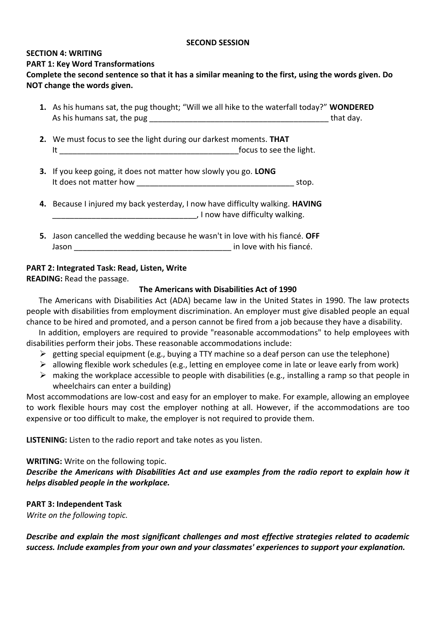#### **SECOND SESSION**

#### **SECTION 4: WRITING**

#### **PART 1: Key Word Transformations**

### **Complete the second sentence so that it has a similar meaning to the first, using the words given. Do NOT change the words given.**

- **1.** As his humans sat, the pug thought; "Will we all hike to the waterfall today?" **WONDERED** As his humans sat, the pug example of the state of the state of that day.
- **2.** We must focus to see the light during our darkest moments. **THAT** It and the set of the set of the light. The set of the light.
- **3.** If you keep going, it does not matter how slowly you go. **LONG** It does not matter how \_\_\_\_\_\_\_\_\_\_\_\_\_\_\_\_\_\_\_\_\_\_\_\_\_\_\_\_\_\_\_\_\_\_\_\_ stop.
- **4.** Because I injured my back yesterday, I now have difficulty walking. **HAVING** \_\_\_\_\_\_\_\_\_\_\_\_\_\_\_\_\_\_\_\_\_\_\_\_\_\_\_\_\_\_\_\_\_, I now have difficulty walking.
- **5.** Jason cancelled the wedding because he wasn't in love with his fiancé. **OFF** Jason \_\_\_\_\_\_\_\_\_\_\_\_\_\_\_\_\_\_\_\_\_\_\_\_\_\_\_\_\_\_\_\_\_\_\_\_ in love with his fiancé.

#### **PART 2: Integrated Task: Read, Listen, Write**

**READING:** Read the passage.

#### **The Americans with Disabilities Act of 1990**

The Americans with Disabilities Act (ADA) became law in the United States in 1990. The law protects people with disabilities from employment discrimination. An employer must give disabled people an equal chance to be hired and promoted, and a person cannot be fired from a job because they have a disability.

In addition, employers are required to provide "reasonable accommodations" to help employees with disabilities perform their jobs. These reasonable accommodations include:

- $\triangleright$  getting special equipment (e.g., buying a TTY machine so a deaf person can use the telephone)
- $\triangleright$  allowing flexible work schedules (e.g., letting en employee come in late or leave early from work)
- $\triangleright$  making the workplace accessible to people with disabilities (e.g., installing a ramp so that people in wheelchairs can enter a building)

Most accommodations are low-cost and easy for an employer to make. For example, allowing an employee to work flexible hours may cost the employer nothing at all. However, if the accommodations are too expensive or too difficult to make, the employer is not required to provide them.

**LISTENING:** Listen to the radio report and take notes as you listen.

#### **WRITING:** Write on the following topic.

*Describe the Americans with Disabilities Act and use examples from the radio report to explain how it helps disabled people in the workplace.*

**PART 3: Independent Task** *Write on the following topic.*

*Describe and explain the most significant challenges and most effective strategies related to academic success. Include examples from your own and your classmates' experiences to support your explanation.*